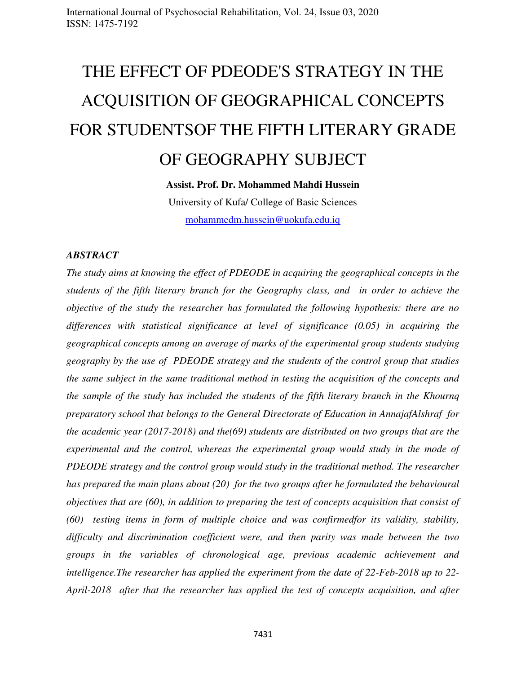# THE EFFECT OF PDEODE'S STRATEGY IN THE ACQUISITION OF GEOGRAPHICAL CONCEPTS FOR STUDENTSOF THE FIFTH LITERARY GRADE OF GEOGRAPHY SUBJECT

## **Assist. Prof. Dr. Mohammed Mahdi Hussein**

University of Kufa/ College of Basic Sciences [mohammedm.hussein@uokufa.edu.iq](mailto:mohammedm.hussein@uokufa.edu.iq)

#### *ABSTRACT*

*The study aims at knowing the effect of PDEODE in acquiring the geographical concepts in the students of the fifth literary branch for the Geography class, and in order to achieve the objective of the study the researcher has formulated the following hypothesis: there are no differences with statistical significance at level of significance (0.05) in acquiring the geographical concepts among an average of marks of the experimental group students studying geography by the use of PDEODE strategy and the students of the control group that studies the same subject in the same traditional method in testing the acquisition of the concepts and the sample of the study has included the students of the fifth literary branch in the Khournq preparatory school that belongs to the General Directorate of Education in AnnajafAlshraf for the academic year (2017-2018) and the(69) students are distributed on two groups that are the experimental and the control, whereas the experimental group would study in the mode of PDEODE strategy and the control group would study in the traditional method. The researcher has prepared the main plans about (20) for the two groups after he formulated the behavioural objectives that are (60), in addition to preparing the test of concepts acquisition that consist of (60) testing items in form of multiple choice and was confirmedfor its validity, stability, difficulty and discrimination coefficient were, and then parity was made between the two groups in the variables of chronological age, previous academic achievement and intelligence.The researcher has applied the experiment from the date of 22-Feb-2018 up to 22- April-2018 after that the researcher has applied the test of concepts acquisition, and after*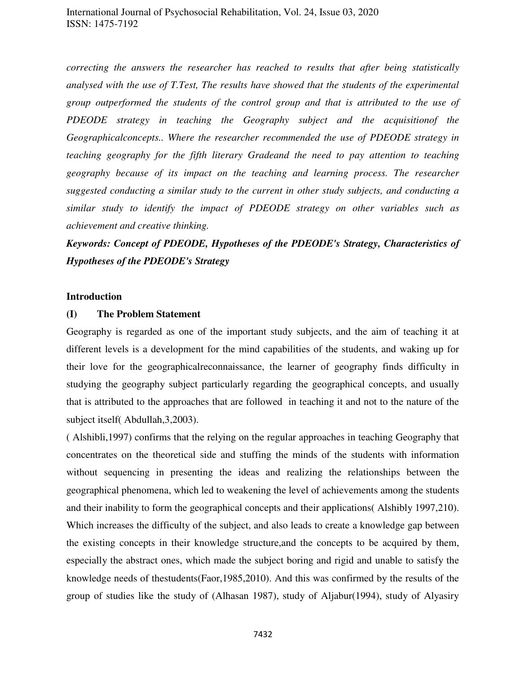*correcting the answers the researcher has reached to results that after being statistically analysed with the use of T.Test, The results have showed that the students of the experimental group outperformed the students of the control group and that is attributed to the use of PDEODE strategy in teaching the Geography subject and the acquisitionof the Geographicalconcepts.. Where the researcher recommended the use of PDEODE strategy in teaching geography for the fifth literary Gradeand the need to pay attention to teaching geography because of its impact on the teaching and learning process. The researcher suggested conducting a similar study to the current in other study subjects, and conducting a similar study to identify the impact of PDEODE strategy on other variables such as achievement and creative thinking.* 

# *Keywords: Concept of PDEODE, Hypotheses of the PDEODE's Strategy, Characteristics of Hypotheses of the PDEODE's Strategy*

#### **Introduction**

#### **(I) The Problem Statement**

Geography is regarded as one of the important study subjects, and the aim of teaching it at different levels is a development for the mind capabilities of the students, and waking up for their love for the geographicalreconnaissance, the learner of geography finds difficulty in studying the geography subject particularly regarding the geographical concepts, and usually that is attributed to the approaches that are followed in teaching it and not to the nature of the subject itself( Abdullah,3,2003).

( Alshibli,1997) confirms that the relying on the regular approaches in teaching Geography that concentrates on the theoretical side and stuffing the minds of the students with information without sequencing in presenting the ideas and realizing the relationships between the geographical phenomena, which led to weakening the level of achievements among the students and their inability to form the geographical concepts and their applications( Alshibly 1997,210). Which increases the difficulty of the subject, and also leads to create a knowledge gap between the existing concepts in their knowledge structure,and the concepts to be acquired by them, especially the abstract ones, which made the subject boring and rigid and unable to satisfy the knowledge needs of thestudents(Faor,1985,2010). And this was confirmed by the results of the group of studies like the study of (Alhasan 1987), study of Aljabur(1994), study of Alyasiry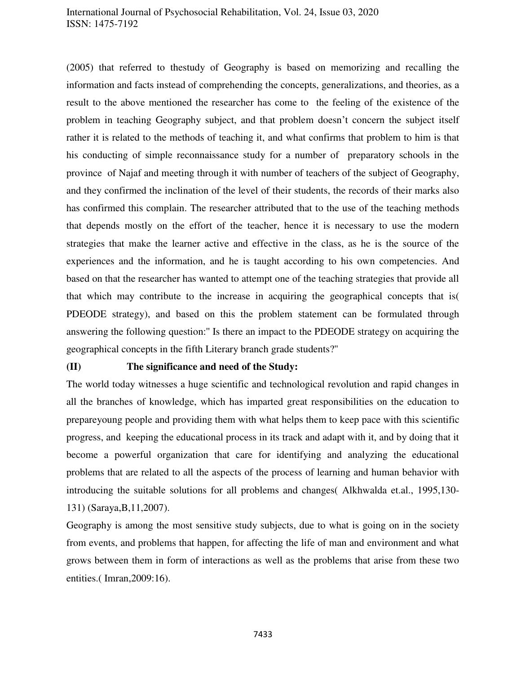(2005) that referred to thestudy of Geography is based on memorizing and recalling the information and facts instead of comprehending the concepts, generalizations, and theories, as a result to the above mentioned the researcher has come to the feeling of the existence of the problem in teaching Geography subject, and that problem doesn't concern the subject itself rather it is related to the methods of teaching it, and what confirms that problem to him is that his conducting of simple reconnaissance study for a number of preparatory schools in the province of Najaf and meeting through it with number of teachers of the subject of Geography, and they confirmed the inclination of the level of their students, the records of their marks also has confirmed this complain. The researcher attributed that to the use of the teaching methods that depends mostly on the effort of the teacher, hence it is necessary to use the modern strategies that make the learner active and effective in the class, as he is the source of the experiences and the information, and he is taught according to his own competencies. And based on that the researcher has wanted to attempt one of the teaching strategies that provide all that which may contribute to the increase in acquiring the geographical concepts that is( PDEODE strategy), and based on this the problem statement can be formulated through answering the following question:'' Is there an impact to the PDEODE strategy on acquiring the geographical concepts in the fifth Literary branch grade students?''

#### **(II) The significance and need of the Study:**

The world today witnesses a huge scientific and technological revolution and rapid changes in all the branches of knowledge, which has imparted great responsibilities on the education to prepareyoung people and providing them with what helps them to keep pace with this scientific progress, and keeping the educational process in its track and adapt with it, and by doing that it become a powerful organization that care for identifying and analyzing the educational problems that are related to all the aspects of the process of learning and human behavior with introducing the suitable solutions for all problems and changes( Alkhwalda et.al., 1995,130- 131) (Saraya,B,11,2007).

Geography is among the most sensitive study subjects, due to what is going on in the society from events, and problems that happen, for affecting the life of man and environment and what grows between them in form of interactions as well as the problems that arise from these two entities.( Imran,2009:16).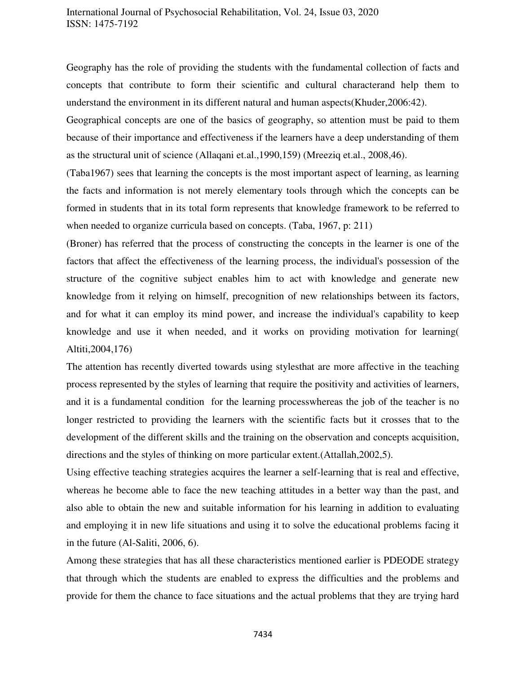Geography has the role of providing the students with the fundamental collection of facts and concepts that contribute to form their scientific and cultural characterand help them to understand the environment in its different natural and human aspects(Khuder,2006:42).

Geographical concepts are one of the basics of geography, so attention must be paid to them because of their importance and effectiveness if the learners have a deep understanding of them as the structural unit of science (Allaqani et.al.,1990,159) (Mreeziq et.al., 2008,46).

(Taba1967) sees that learning the concepts is the most important aspect of learning, as learning the facts and information is not merely elementary tools through which the concepts can be formed in students that in its total form represents that knowledge framework to be referred to when needed to organize curricula based on concepts. (Taba, 1967, p: 211)

(Broner) has referred that the process of constructing the concepts in the learner is one of the factors that affect the effectiveness of the learning process, the individual's possession of the structure of the cognitive subject enables him to act with knowledge and generate new knowledge from it relying on himself, precognition of new relationships between its factors, and for what it can employ its mind power, and increase the individual's capability to keep knowledge and use it when needed, and it works on providing motivation for learning( Altiti,2004,176)

The attention has recently diverted towards using stylesthat are more affective in the teaching process represented by the styles of learning that require the positivity and activities of learners, and it is a fundamental condition for the learning processwhereas the job of the teacher is no longer restricted to providing the learners with the scientific facts but it crosses that to the development of the different skills and the training on the observation and concepts acquisition, directions and the styles of thinking on more particular extent.(Attallah,2002,5).

Using effective teaching strategies acquires the learner a self-learning that is real and effective, whereas he become able to face the new teaching attitudes in a better way than the past, and also able to obtain the new and suitable information for his learning in addition to evaluating and employing it in new life situations and using it to solve the educational problems facing it in the future (Al-Saliti, 2006, 6).

Among these strategies that has all these characteristics mentioned earlier is PDEODE strategy that through which the students are enabled to express the difficulties and the problems and provide for them the chance to face situations and the actual problems that they are trying hard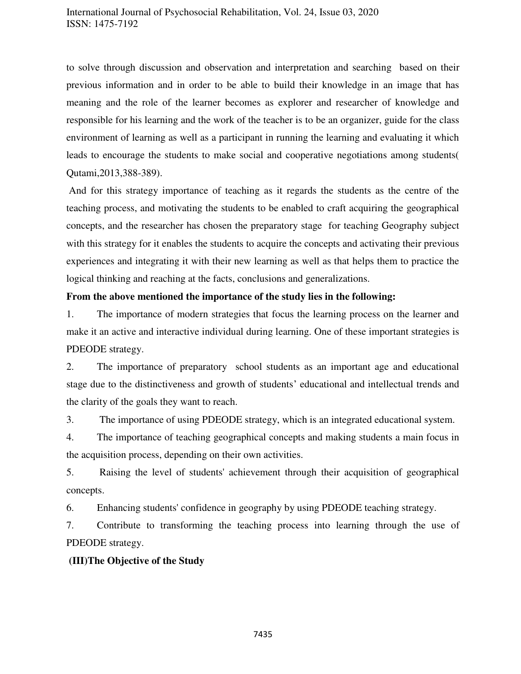to solve through discussion and observation and interpretation and searching based on their previous information and in order to be able to build their knowledge in an image that has meaning and the role of the learner becomes as explorer and researcher of knowledge and responsible for his learning and the work of the teacher is to be an organizer, guide for the class environment of learning as well as a participant in running the learning and evaluating it which leads to encourage the students to make social and cooperative negotiations among students( Qutami,2013,388-389).

 And for this strategy importance of teaching as it regards the students as the centre of the teaching process, and motivating the students to be enabled to craft acquiring the geographical concepts, and the researcher has chosen the preparatory stage for teaching Geography subject with this strategy for it enables the students to acquire the concepts and activating their previous experiences and integrating it with their new learning as well as that helps them to practice the logical thinking and reaching at the facts, conclusions and generalizations.

#### **From the above mentioned the importance of the study lies in the following:**

1. The importance of modern strategies that focus the learning process on the learner and make it an active and interactive individual during learning. One of these important strategies is PDEODE strategy.

2. The importance of preparatory school students as an important age and educational stage due to the distinctiveness and growth of students' educational and intellectual trends and the clarity of the goals they want to reach.

3. The importance of using PDEODE strategy, which is an integrated educational system.

4. The importance of teaching geographical concepts and making students a main focus in the acquisition process, depending on their own activities.

5. Raising the level of students' achievement through their acquisition of geographical concepts.

6. Enhancing students' confidence in geography by using PDEODE teaching strategy.

7. Contribute to transforming the teaching process into learning through the use of PDEODE strategy.

#### **(III)The Objective of the Study**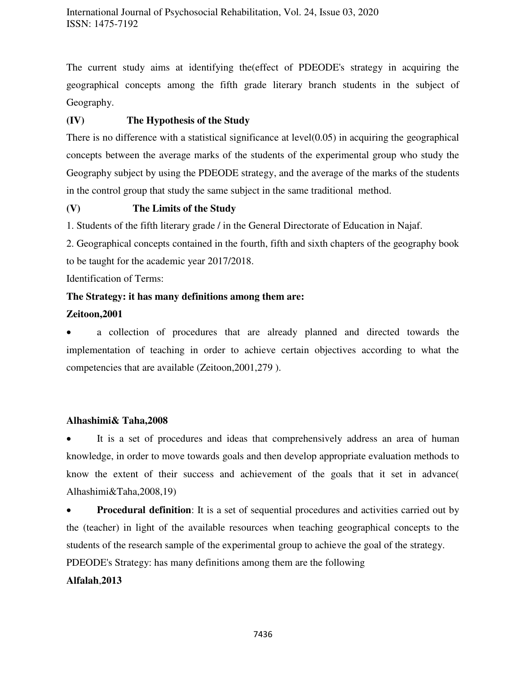The current study aims at identifying the(effect of PDEODE's strategy in acquiring the geographical concepts among the fifth grade literary branch students in the subject of Geography.

## **(IV) The Hypothesis of the Study**

There is no difference with a statistical significance at level(0.05) in acquiring the geographical concepts between the average marks of the students of the experimental group who study the Geography subject by using the PDEODE strategy, and the average of the marks of the students in the control group that study the same subject in the same traditional method.

## **(V) The Limits of the Study**

1. Students of the fifth literary grade / in the General Directorate of Education in Najaf.

2. Geographical concepts contained in the fourth, fifth and sixth chapters of the geography book to be taught for the academic year 2017/2018.

Identification of Terms:

## **The Strategy: it has many definitions among them are:**

## **Zeitoon,2001**

 a collection of procedures that are already planned and directed towards the implementation of teaching in order to achieve certain objectives according to what the competencies that are available (Zeitoon,2001,279 ).

## **Alhashimi& Taha,2008**

 It is a set of procedures and ideas that comprehensively address an area of human knowledge, in order to move towards goals and then develop appropriate evaluation methods to know the extent of their success and achievement of the goals that it set in advance( Alhashimi&Taha,2008,19)

**Procedural definition**: It is a set of sequential procedures and activities carried out by the (teacher) in light of the available resources when teaching geographical concepts to the students of the research sample of the experimental group to achieve the goal of the strategy.

PDEODE's Strategy: has many definitions among them are the following

## **Alfalah**,**2013**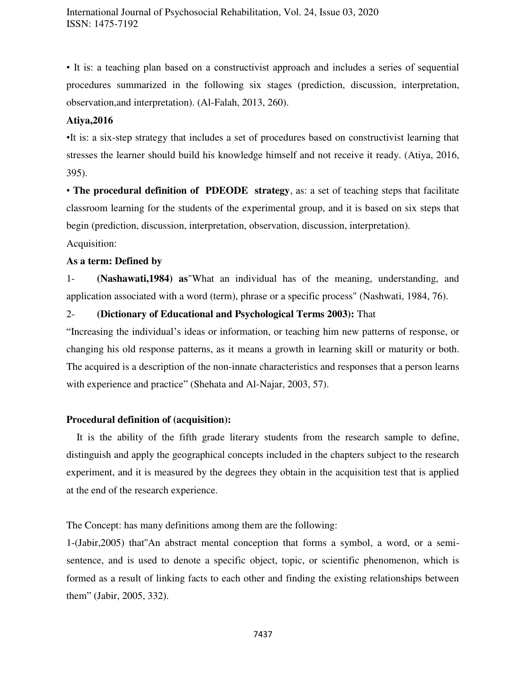• It is: a teaching plan based on a constructivist approach and includes a series of sequential procedures summarized in the following six stages (prediction, discussion, interpretation, observation,and interpretation). (Al-Falah, 2013, 260).

#### **Atiya,2016**

•It is: a six-step strategy that includes a set of procedures based on constructivist learning that stresses the learner should build his knowledge himself and not receive it ready. (Atiya, 2016, 395).

• **The procedural definition of PDEODE strategy**, as: a set of teaching steps that facilitate classroom learning for the students of the experimental group, and it is based on six steps that begin (prediction, discussion, interpretation, observation, discussion, interpretation).

Acquisition:

#### **As a term: Defined by**

1- **(Nashawati,1984) as**"What an individual has of the meaning, understanding, and application associated with a word (term), phrase or a specific process" (Nashwati, 1984, 76).

#### 2- **(Dictionary of Educational and Psychological Terms 2003):** That

"Increasing the individual's ideas or information, or teaching him new patterns of response, or changing his old response patterns, as it means a growth in learning skill or maturity or both. The acquired is a description of the non-innate characteristics and responses that a person learns with experience and practice" (Shehata and Al-Najar, 2003, 57).

#### **Procedural definition of (acquisition):**

 It is the ability of the fifth grade literary students from the research sample to define, distinguish and apply the geographical concepts included in the chapters subject to the research experiment, and it is measured by the degrees they obtain in the acquisition test that is applied at the end of the research experience.

The Concept: has many definitions among them are the following:

1-(Jabir,2005) that''An abstract mental conception that forms a symbol, a word, or a semisentence, and is used to denote a specific object, topic, or scientific phenomenon, which is formed as a result of linking facts to each other and finding the existing relationships between them" (Jabir, 2005, 332).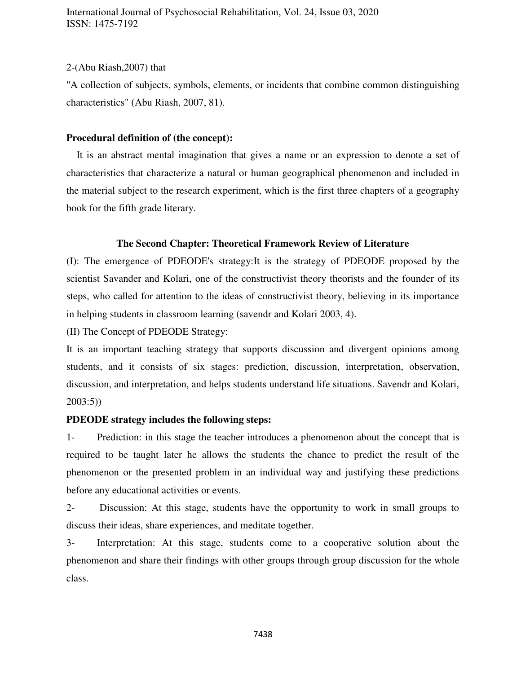#### 2-(Abu Riash,2007) that

"A collection of subjects, symbols, elements, or incidents that combine common distinguishing characteristics" (Abu Riash, 2007, 81).

#### **Procedural definition of (the concept):**

 It is an abstract mental imagination that gives a name or an expression to denote a set of characteristics that characterize a natural or human geographical phenomenon and included in the material subject to the research experiment, which is the first three chapters of a geography book for the fifth grade literary.

#### **The Second Chapter: Theoretical Framework Review of Literature**

(I): The emergence of PDEODE's strategy:It is the strategy of PDEODE proposed by the scientist Savander and Kolari, one of the constructivist theory theorists and the founder of its steps, who called for attention to the ideas of constructivist theory, believing in its importance in helping students in classroom learning (savendr and Kolari 2003, 4).

(II) The Concept of PDEODE Strategy:

It is an important teaching strategy that supports discussion and divergent opinions among students, and it consists of six stages: prediction, discussion, interpretation, observation, discussion, and interpretation, and helps students understand life situations. Savendr and Kolari, 2003:5))

#### **PDEODE strategy includes the following steps:**

1- Prediction: in this stage the teacher introduces a phenomenon about the concept that is required to be taught later he allows the students the chance to predict the result of the phenomenon or the presented problem in an individual way and justifying these predictions before any educational activities or events.

2- Discussion: At this stage, students have the opportunity to work in small groups to discuss their ideas, share experiences, and meditate together.

3- Interpretation: At this stage, students come to a cooperative solution about the phenomenon and share their findings with other groups through group discussion for the whole class.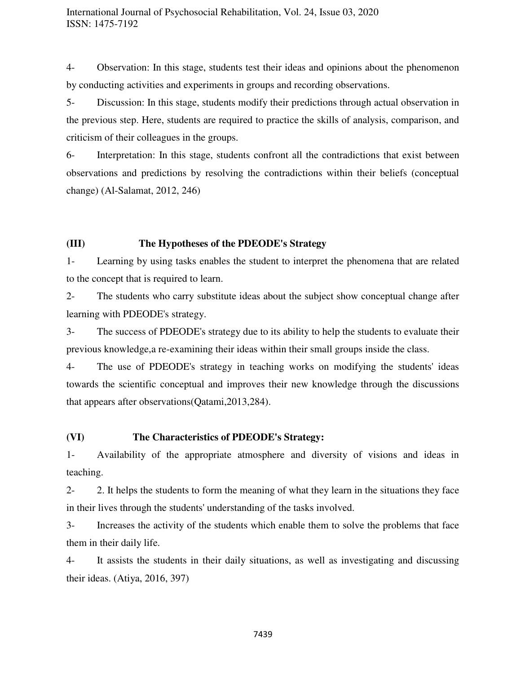4- Observation: In this stage, students test their ideas and opinions about the phenomenon by conducting activities and experiments in groups and recording observations.

5- Discussion: In this stage, students modify their predictions through actual observation in the previous step. Here, students are required to practice the skills of analysis, comparison, and criticism of their colleagues in the groups.

6- Interpretation: In this stage, students confront all the contradictions that exist between observations and predictions by resolving the contradictions within their beliefs (conceptual change) (Al-Salamat, 2012, 246)

## **(III) The Hypotheses of the PDEODE's Strategy**

1- Learning by using tasks enables the student to interpret the phenomena that are related to the concept that is required to learn.

2- The students who carry substitute ideas about the subject show conceptual change after learning with PDEODE's strategy.

3- The success of PDEODE's strategy due to its ability to help the students to evaluate their previous knowledge,a re-examining their ideas within their small groups inside the class.

4- The use of PDEODE's strategy in teaching works on modifying the students' ideas towards the scientific conceptual and improves their new knowledge through the discussions that appears after observations(Qatami,2013,284).

## **(VI) The Characteristics of PDEODE's Strategy:**

1- Availability of the appropriate atmosphere and diversity of visions and ideas in teaching.

2- 2. It helps the students to form the meaning of what they learn in the situations they face in their lives through the students' understanding of the tasks involved.

3- Increases the activity of the students which enable them to solve the problems that face them in their daily life.

4- It assists the students in their daily situations, as well as investigating and discussing their ideas. (Atiya, 2016, 397)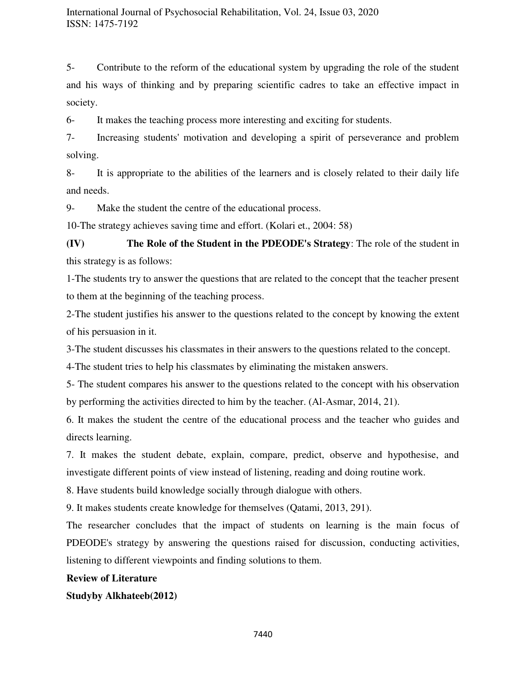5- Contribute to the reform of the educational system by upgrading the role of the student and his ways of thinking and by preparing scientific cadres to take an effective impact in society.

6- It makes the teaching process more interesting and exciting for students.

7- Increasing students' motivation and developing a spirit of perseverance and problem solving.

8- It is appropriate to the abilities of the learners and is closely related to their daily life and needs.

9- Make the student the centre of the educational process.

10-The strategy achieves saving time and effort. (Kolari et., 2004: 58)

**(IV) The Role of the Student in the PDEODE's Strategy**: The role of the student in this strategy is as follows:

1-The students try to answer the questions that are related to the concept that the teacher present to them at the beginning of the teaching process.

2-The student justifies his answer to the questions related to the concept by knowing the extent of his persuasion in it.

3-The student discusses his classmates in their answers to the questions related to the concept.

4-The student tries to help his classmates by eliminating the mistaken answers.

5- The student compares his answer to the questions related to the concept with his observation by performing the activities directed to him by the teacher. (Al-Asmar, 2014, 21).

6. It makes the student the centre of the educational process and the teacher who guides and directs learning.

7. It makes the student debate, explain, compare, predict, observe and hypothesise, and investigate different points of view instead of listening, reading and doing routine work.

8. Have students build knowledge socially through dialogue with others.

9. It makes students create knowledge for themselves (Qatami, 2013, 291).

The researcher concludes that the impact of students on learning is the main focus of PDEODE's strategy by answering the questions raised for discussion, conducting activities, listening to different viewpoints and finding solutions to them.

#### **Review of Literature**

**Studyby Alkhateeb(2012)**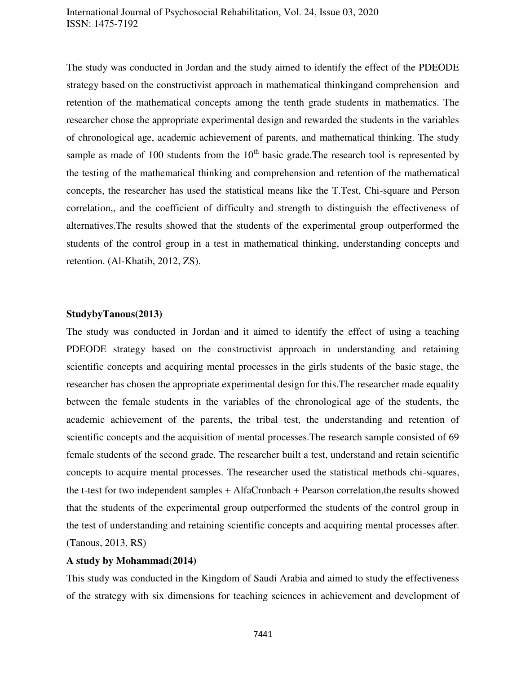The study was conducted in Jordan and the study aimed to identify the effect of the PDEODE strategy based on the constructivist approach in mathematical thinkingand comprehension and retention of the mathematical concepts among the tenth grade students in mathematics. The researcher chose the appropriate experimental design and rewarded the students in the variables of chronological age, academic achievement of parents, and mathematical thinking. The study sample as made of 100 students from the  $10<sup>th</sup>$  basic grade. The research tool is represented by the testing of the mathematical thinking and comprehension and retention of the mathematical concepts, the researcher has used the statistical means like the T.Test, Chi-square and Person correlation,, and the coefficient of difficulty and strength to distinguish the effectiveness of alternatives.The results showed that the students of the experimental group outperformed the students of the control group in a test in mathematical thinking, understanding concepts and retention. (Al-Khatib, 2012, ZS).

#### **StudybyTanous(2013)**

The study was conducted in Jordan and it aimed to identify the effect of using a teaching PDEODE strategy based on the constructivist approach in understanding and retaining scientific concepts and acquiring mental processes in the girls students of the basic stage, the researcher has chosen the appropriate experimental design for this.The researcher made equality between the female students in the variables of the chronological age of the students, the academic achievement of the parents, the tribal test, the understanding and retention of scientific concepts and the acquisition of mental processes.The research sample consisted of 69 female students of the second grade. The researcher built a test, understand and retain scientific concepts to acquire mental processes. The researcher used the statistical methods chi-squares, the t-test for two independent samples + AlfaCronbach + Pearson correlation,the results showed that the students of the experimental group outperformed the students of the control group in the test of understanding and retaining scientific concepts and acquiring mental processes after. (Tanous, 2013, RS)

#### **A study by Mohammad(2014)**

This study was conducted in the Kingdom of Saudi Arabia and aimed to study the effectiveness of the strategy with six dimensions for teaching sciences in achievement and development of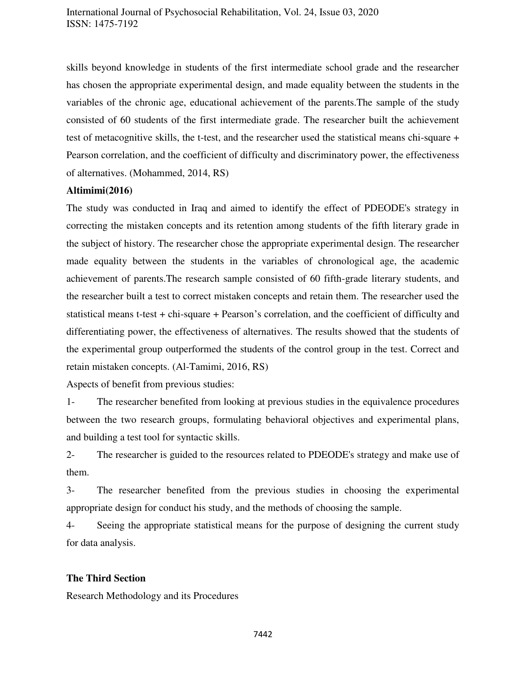skills beyond knowledge in students of the first intermediate school grade and the researcher has chosen the appropriate experimental design, and made equality between the students in the variables of the chronic age, educational achievement of the parents.The sample of the study consisted of 60 students of the first intermediate grade. The researcher built the achievement test of metacognitive skills, the t-test, and the researcher used the statistical means chi-square + Pearson correlation, and the coefficient of difficulty and discriminatory power, the effectiveness of alternatives. (Mohammed, 2014, RS)

#### **Altimimi(2016)**

The study was conducted in Iraq and aimed to identify the effect of PDEODE's strategy in correcting the mistaken concepts and its retention among students of the fifth literary grade in the subject of history. The researcher chose the appropriate experimental design. The researcher made equality between the students in the variables of chronological age, the academic achievement of parents.The research sample consisted of 60 fifth-grade literary students, and the researcher built a test to correct mistaken concepts and retain them. The researcher used the statistical means t-test + chi-square + Pearson's correlation, and the coefficient of difficulty and differentiating power, the effectiveness of alternatives. The results showed that the students of the experimental group outperformed the students of the control group in the test. Correct and retain mistaken concepts. (Al-Tamimi, 2016, RS)

Aspects of benefit from previous studies:

1- The researcher benefited from looking at previous studies in the equivalence procedures between the two research groups, formulating behavioral objectives and experimental plans, and building a test tool for syntactic skills.

2- The researcher is guided to the resources related to PDEODE's strategy and make use of them.

3- The researcher benefited from the previous studies in choosing the experimental appropriate design for conduct his study, and the methods of choosing the sample.

4- Seeing the appropriate statistical means for the purpose of designing the current study for data analysis.

#### **The Third Section**

Research Methodology and its Procedures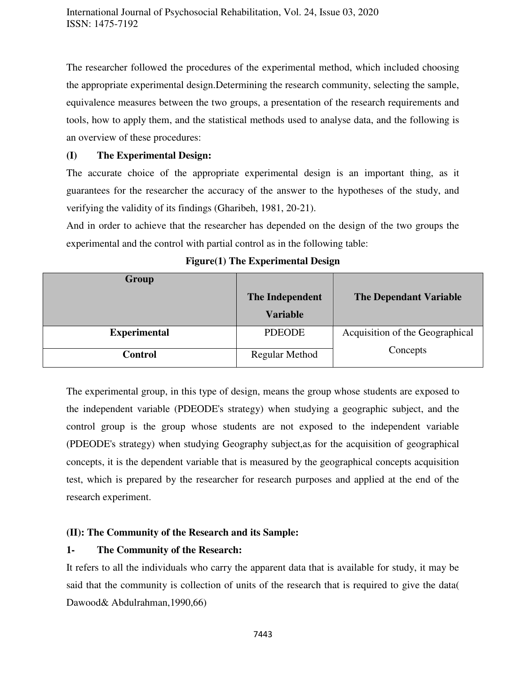The researcher followed the procedures of the experimental method, which included choosing the appropriate experimental design.Determining the research community, selecting the sample, equivalence measures between the two groups, a presentation of the research requirements and tools, how to apply them, and the statistical methods used to analyse data, and the following is an overview of these procedures:

### **(I) The Experimental Design:**

The accurate choice of the appropriate experimental design is an important thing, as it guarantees for the researcher the accuracy of the answer to the hypotheses of the study, and verifying the validity of its findings (Gharibeh, 1981, 20-21).

And in order to achieve that the researcher has depended on the design of the two groups the experimental and the control with partial control as in the following table:

| Group               |                       |                                 |
|---------------------|-----------------------|---------------------------------|
|                     | The Independent       | <b>The Dependant Variable</b>   |
|                     | <b>Variable</b>       |                                 |
| <b>Experimental</b> | <b>PDEODE</b>         | Acquisition of the Geographical |
| <b>Control</b>      | <b>Regular Method</b> | Concepts                        |

**Figure(1) The Experimental Design** 

The experimental group, in this type of design, means the group whose students are exposed to the independent variable (PDEODE's strategy) when studying a geographic subject, and the control group is the group whose students are not exposed to the independent variable (PDEODE's strategy) when studying Geography subject,as for the acquisition of geographical concepts, it is the dependent variable that is measured by the geographical concepts acquisition test, which is prepared by the researcher for research purposes and applied at the end of the research experiment.

#### **(II): The Community of the Research and its Sample:**

#### **1- The Community of the Research:**

It refers to all the individuals who carry the apparent data that is available for study, it may be said that the community is collection of units of the research that is required to give the data( Dawood& Abdulrahman,1990,66)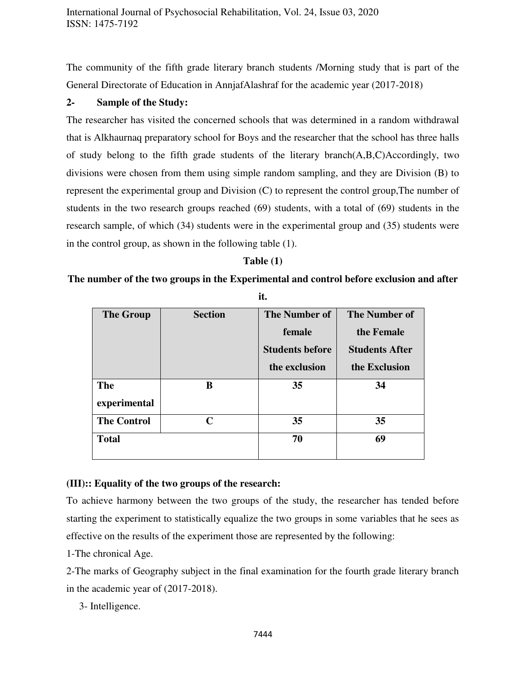The community of the fifth grade literary branch students /Morning study that is part of the General Directorate of Education in AnnjafAlashraf for the academic year (2017-2018)

#### **2- Sample of the Study:**

The researcher has visited the concerned schools that was determined in a random withdrawal that is Alkhaurnaq preparatory school for Boys and the researcher that the school has three halls of study belong to the fifth grade students of the literary branch(A,B,C)Accordingly, two divisions were chosen from them using simple random sampling, and they are Division (B) to represent the experimental group and Division (C) to represent the control group,The number of students in the two research groups reached (69) students, with a total of (69) students in the research sample, of which (34) students were in the experimental group and (35) students were in the control group, as shown in the following table (1).

#### **Table (1)**

#### **The number of the two groups in the Experimental and control before exclusion and after**

| <b>The Group</b>   | <b>Section</b> | <b>The Number of</b>   | <b>The Number of</b>  |  |  |
|--------------------|----------------|------------------------|-----------------------|--|--|
|                    |                | female                 | the Female            |  |  |
|                    |                | <b>Students before</b> | <b>Students After</b> |  |  |
|                    |                | the exclusion          | the Exclusion         |  |  |
| <b>The</b>         | B              | 35                     | 34                    |  |  |
| experimental       |                |                        |                       |  |  |
| <b>The Control</b> | $\mathbf C$    | 35                     | 35                    |  |  |
| <b>Total</b>       |                | 70                     | 69                    |  |  |

**it.** 

#### **(III):: Equality of the two groups of the research:**

To achieve harmony between the two groups of the study, the researcher has tended before starting the experiment to statistically equalize the two groups in some variables that he sees as effective on the results of the experiment those are represented by the following:

1-The chronical Age.

2-The marks of Geography subject in the final examination for the fourth grade literary branch in the academic year of (2017-2018).

3- Intelligence.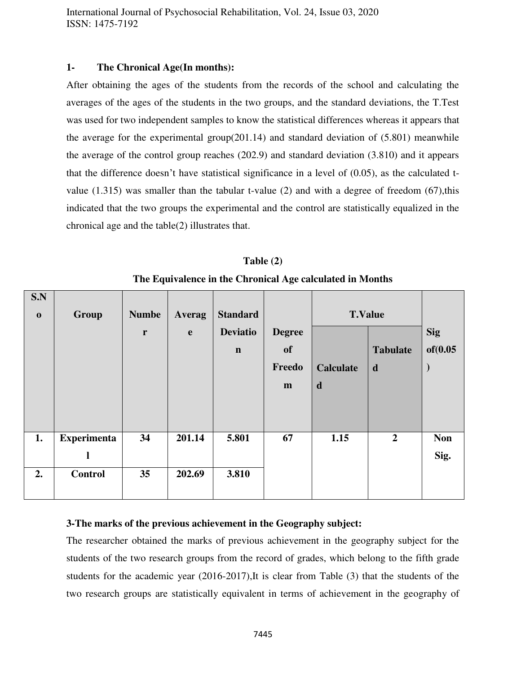#### **1- The Chronical Age(In months):**

After obtaining the ages of the students from the records of the school and calculating the averages of the ages of the students in the two groups, and the standard deviations, the T.Test was used for two independent samples to know the statistical differences whereas it appears that the average for the experimental group(201.14) and standard deviation of  $(5.801)$  meanwhile the average of the control group reaches (202.9) and standard deviation (3.810) and it appears that the difference doesn't have statistical significance in a level of (0.05), as the calculated tvalue  $(1.315)$  was smaller than the tabular t-value  $(2)$  and with a degree of freedom  $(67)$ , this indicated that the two groups the experimental and the control are statistically equalized in the chronical age and the table(2) illustrates that.

| S.N         |                    |              |               |                 |               |                  |                 |            |
|-------------|--------------------|--------------|---------------|-----------------|---------------|------------------|-----------------|------------|
| $\mathbf 0$ | Group              | <b>Numbe</b> | <b>Averag</b> | <b>Standard</b> |               | <b>T.Value</b>   |                 |            |
|             |                    | $\mathbf r$  | $\mathbf e$   | <b>Deviatio</b> | <b>Degree</b> |                  |                 | <b>Sig</b> |
|             |                    |              |               | $\mathbf n$     | <b>of</b>     |                  | <b>Tabulate</b> | of (0.05   |
|             |                    |              |               |                 | Freedo        | <b>Calculate</b> | d               |            |
|             |                    |              |               |                 | m             | $\mathbf d$      |                 |            |
|             |                    |              |               |                 |               |                  |                 |            |
|             |                    |              |               |                 |               |                  |                 |            |
| 1.          | <b>Experimenta</b> | 34           | 201.14        | 5.801           | 67            | 1.15             | $\overline{2}$  | <b>Non</b> |
|             | ı                  |              |               |                 |               |                  |                 | Sig.       |
| 2.          | <b>Control</b>     | 35           | 202.69        | 3.810           |               |                  |                 |            |
|             |                    |              |               |                 |               |                  |                 |            |

**Table (2) The Equivalence in the Chronical Age calculated in Months** 

#### **3-The marks of the previous achievement in the Geography subject:**

The researcher obtained the marks of previous achievement in the geography subject for the students of the two research groups from the record of grades, which belong to the fifth grade students for the academic year (2016-2017),It is clear from Table (3) that the students of the two research groups are statistically equivalent in terms of achievement in the geography of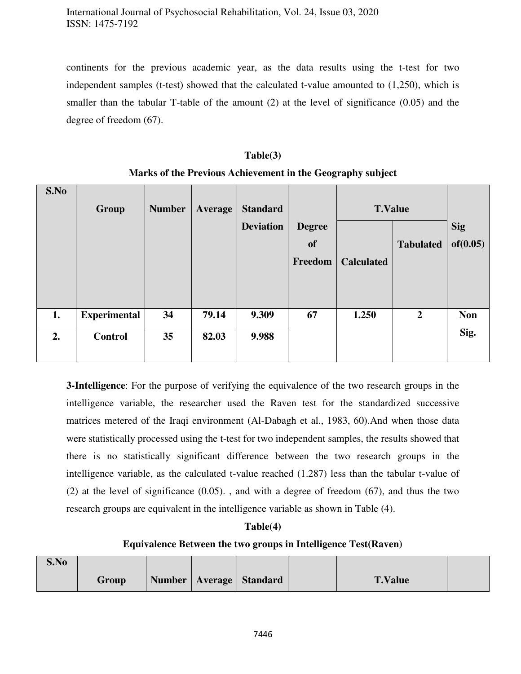continents for the previous academic year, as the data results using the t-test for two independent samples (t-test) showed that the calculated t-value amounted to (1,250), which is smaller than the tabular T-table of the amount (2) at the level of significance (0.05) and the degree of freedom (67).

#### **Table(3)**

| S.No | Group               | <b>Number</b> | Average | <b>Standard</b>  |               | <b>T.Value</b>    |                  |            |
|------|---------------------|---------------|---------|------------------|---------------|-------------------|------------------|------------|
|      |                     |               |         | <b>Deviation</b> | <b>Degree</b> |                   |                  | <b>Sig</b> |
|      |                     |               |         |                  | <b>of</b>     |                   | <b>Tabulated</b> | of (0.05)  |
|      |                     |               |         |                  | Freedom       | <b>Calculated</b> |                  |            |
|      |                     |               |         |                  |               |                   |                  |            |
|      |                     |               |         |                  |               |                   |                  |            |
|      |                     |               |         |                  |               |                   |                  |            |
| 1.   | <b>Experimental</b> | 34            | 79.14   | 9.309            | 67            | 1.250             | $\overline{2}$   | <b>Non</b> |
|      |                     |               |         |                  |               |                   |                  | Sig.       |
| 2.   | <b>Control</b>      | 35            | 82.03   | 9.988            |               |                   |                  |            |
|      |                     |               |         |                  |               |                   |                  |            |

**Marks of the Previous Achievement in the Geography subject** 

**3-Intelligence**: For the purpose of verifying the equivalence of the two research groups in the intelligence variable, the researcher used the Raven test for the standardized successive matrices metered of the Iraqi environment (Al-Dabagh et al., 1983, 60).And when those data were statistically processed using the t-test for two independent samples, the results showed that there is no statistically significant difference between the two research groups in the intelligence variable, as the calculated t-value reached (1.287) less than the tabular t-value of (2) at the level of significance (0.05). , and with a degree of freedom (67), and thus the two research groups are equivalent in the intelligence variable as shown in Table (4).

#### **Table(4)**

#### **Equivalence Between the two groups in Intelligence Test(Raven)**

| S.No |       |  |                             |                |  |
|------|-------|--|-----------------------------|----------------|--|
|      | Group |  | Number   Average   Standard | <b>T.Value</b> |  |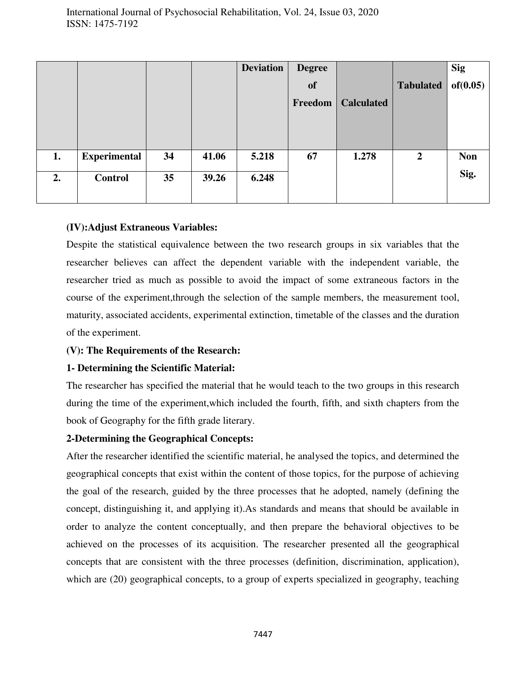|    |                     |    |       | <b>Deviation</b> | <b>Degree</b> |                   |                  | <b>Sig</b> |
|----|---------------------|----|-------|------------------|---------------|-------------------|------------------|------------|
|    |                     |    |       |                  | <b>of</b>     |                   | <b>Tabulated</b> | of (0.05)  |
|    |                     |    |       |                  | Freedom       | <b>Calculated</b> |                  |            |
|    |                     |    |       |                  |               |                   |                  |            |
|    |                     |    |       |                  |               |                   |                  |            |
| 1. | <b>Experimental</b> | 34 | 41.06 | 5.218            | 67            | 1.278             | $\boldsymbol{2}$ | <b>Non</b> |
|    |                     |    |       |                  |               |                   |                  |            |
| 2. | <b>Control</b>      | 35 | 39.26 | 6.248            |               |                   |                  | Sig.       |
|    |                     |    |       |                  |               |                   |                  |            |
|    |                     |    |       |                  |               |                   |                  |            |

## **(IV):Adjust Extraneous Variables:**

Despite the statistical equivalence between the two research groups in six variables that the researcher believes can affect the dependent variable with the independent variable, the researcher tried as much as possible to avoid the impact of some extraneous factors in the course of the experiment,through the selection of the sample members, the measurement tool, maturity, associated accidents, experimental extinction, timetable of the classes and the duration of the experiment.

#### **(V): The Requirements of the Research:**

#### **1- Determining the Scientific Material:**

The researcher has specified the material that he would teach to the two groups in this research during the time of the experiment,which included the fourth, fifth, and sixth chapters from the book of Geography for the fifth grade literary.

#### **2-Determining the Geographical Concepts:**

After the researcher identified the scientific material, he analysed the topics, and determined the geographical concepts that exist within the content of those topics, for the purpose of achieving the goal of the research, guided by the three processes that he adopted, namely (defining the concept, distinguishing it, and applying it).As standards and means that should be available in order to analyze the content conceptually, and then prepare the behavioral objectives to be achieved on the processes of its acquisition. The researcher presented all the geographical concepts that are consistent with the three processes (definition, discrimination, application), which are  $(20)$  geographical concepts, to a group of experts specialized in geography, teaching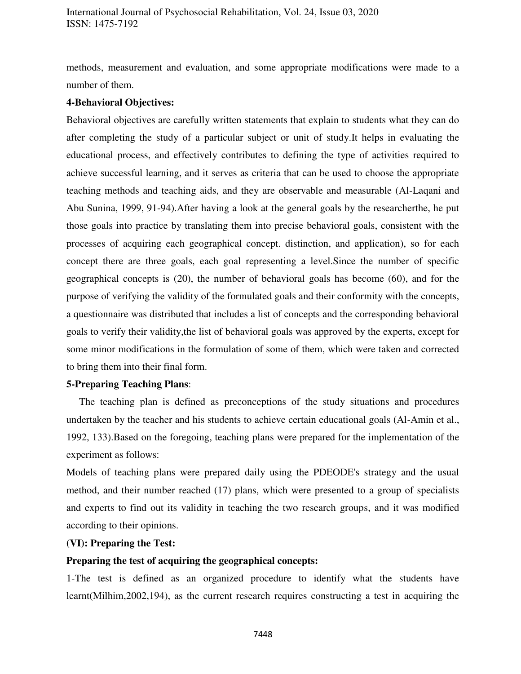methods, measurement and evaluation, and some appropriate modifications were made to a number of them.

#### **4-Behavioral Objectives:**

Behavioral objectives are carefully written statements that explain to students what they can do after completing the study of a particular subject or unit of study.It helps in evaluating the educational process, and effectively contributes to defining the type of activities required to achieve successful learning, and it serves as criteria that can be used to choose the appropriate teaching methods and teaching aids, and they are observable and measurable (Al-Laqani and Abu Sunina, 1999, 91-94).After having a look at the general goals by the researcherthe, he put those goals into practice by translating them into precise behavioral goals, consistent with the processes of acquiring each geographical concept. distinction, and application), so for each concept there are three goals, each goal representing a level.Since the number of specific geographical concepts is (20), the number of behavioral goals has become (60), and for the purpose of verifying the validity of the formulated goals and their conformity with the concepts, a questionnaire was distributed that includes a list of concepts and the corresponding behavioral goals to verify their validity,the list of behavioral goals was approved by the experts, except for some minor modifications in the formulation of some of them, which were taken and corrected to bring them into their final form.

#### **5-Preparing Teaching Plans**:

 The teaching plan is defined as preconceptions of the study situations and procedures undertaken by the teacher and his students to achieve certain educational goals (Al-Amin et al., 1992, 133).Based on the foregoing, teaching plans were prepared for the implementation of the experiment as follows:

Models of teaching plans were prepared daily using the PDEODE's strategy and the usual method, and their number reached (17) plans, which were presented to a group of specialists and experts to find out its validity in teaching the two research groups, and it was modified according to their opinions.

#### **(VI): Preparing the Test:**

#### **Preparing the test of acquiring the geographical concepts:**

1-The test is defined as an organized procedure to identify what the students have learnt(Milhim,2002,194), as the current research requires constructing a test in acquiring the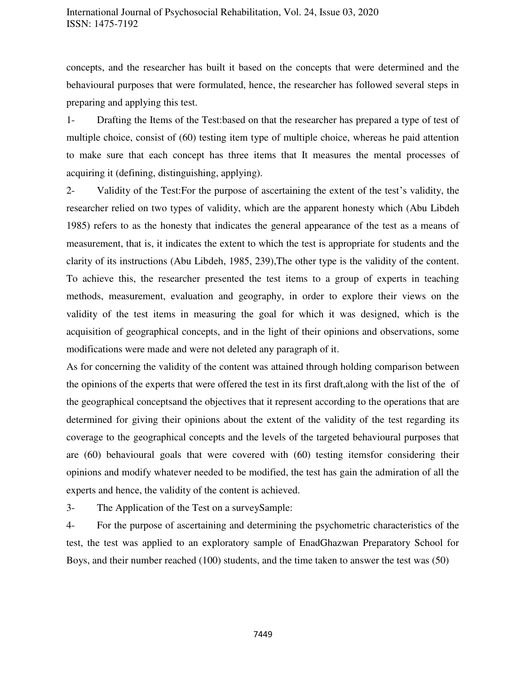concepts, and the researcher has built it based on the concepts that were determined and the behavioural purposes that were formulated, hence, the researcher has followed several steps in preparing and applying this test.

1- Drafting the Items of the Test:based on that the researcher has prepared a type of test of multiple choice, consist of (60) testing item type of multiple choice, whereas he paid attention to make sure that each concept has three items that It measures the mental processes of acquiring it (defining, distinguishing, applying).

2- Validity of the Test:For the purpose of ascertaining the extent of the test's validity, the researcher relied on two types of validity, which are the apparent honesty which (Abu Libdeh 1985) refers to as the honesty that indicates the general appearance of the test as a means of measurement, that is, it indicates the extent to which the test is appropriate for students and the clarity of its instructions (Abu Libdeh, 1985, 239),The other type is the validity of the content. To achieve this, the researcher presented the test items to a group of experts in teaching methods, measurement, evaluation and geography, in order to explore their views on the validity of the test items in measuring the goal for which it was designed, which is the acquisition of geographical concepts, and in the light of their opinions and observations, some modifications were made and were not deleted any paragraph of it.

As for concerning the validity of the content was attained through holding comparison between the opinions of the experts that were offered the test in its first draft,along with the list of the of the geographical conceptsand the objectives that it represent according to the operations that are determined for giving their opinions about the extent of the validity of the test regarding its coverage to the geographical concepts and the levels of the targeted behavioural purposes that are (60) behavioural goals that were covered with (60) testing itemsfor considering their opinions and modify whatever needed to be modified, the test has gain the admiration of all the experts and hence, the validity of the content is achieved.

3- The Application of the Test on a surveySample:

4- For the purpose of ascertaining and determining the psychometric characteristics of the test, the test was applied to an exploratory sample of EnadGhazwan Preparatory School for Boys, and their number reached (100) students, and the time taken to answer the test was (50)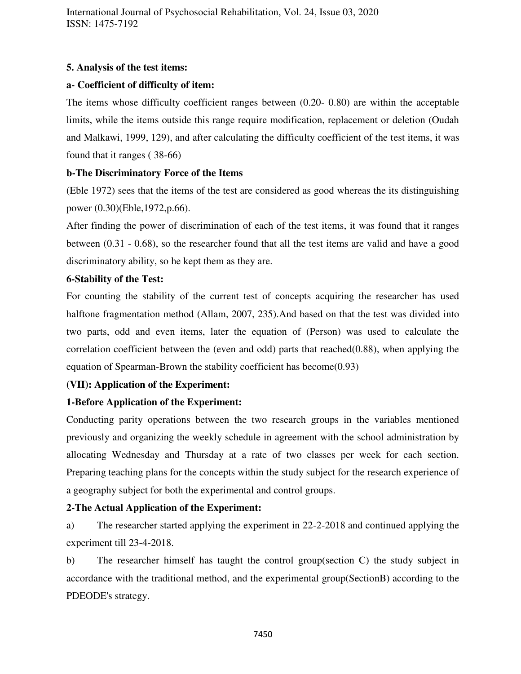## **5. Analysis of the test items:**

## **a- Coefficient of difficulty of item:**

The items whose difficulty coefficient ranges between (0.20- 0.80) are within the acceptable limits, while the items outside this range require modification, replacement or deletion (Oudah and Malkawi, 1999, 129), and after calculating the difficulty coefficient of the test items, it was found that it ranges ( 38-66)

## **b-The Discriminatory Force of the Items**

(Eble 1972) sees that the items of the test are considered as good whereas the its distinguishing power (0.30)(Eble,1972,p.66).

After finding the power of discrimination of each of the test items, it was found that it ranges between (0.31 - 0.68), so the researcher found that all the test items are valid and have a good discriminatory ability, so he kept them as they are.

## **6-Stability of the Test:**

For counting the stability of the current test of concepts acquiring the researcher has used halftone fragmentation method (Allam, 2007, 235).And based on that the test was divided into two parts, odd and even items, later the equation of (Person) was used to calculate the correlation coefficient between the (even and odd) parts that reached(0.88), when applying the equation of Spearman-Brown the stability coefficient has become(0.93)

## **(VII): Application of the Experiment:**

## **1-Before Application of the Experiment:**

Conducting parity operations between the two research groups in the variables mentioned previously and organizing the weekly schedule in agreement with the school administration by allocating Wednesday and Thursday at a rate of two classes per week for each section. Preparing teaching plans for the concepts within the study subject for the research experience of a geography subject for both the experimental and control groups.

#### **2-The Actual Application of the Experiment:**

a) The researcher started applying the experiment in 22-2-2018 and continued applying the experiment till 23-4-2018.

b) The researcher himself has taught the control group(section C) the study subject in accordance with the traditional method, and the experimental group(SectionB) according to the PDEODE's strategy.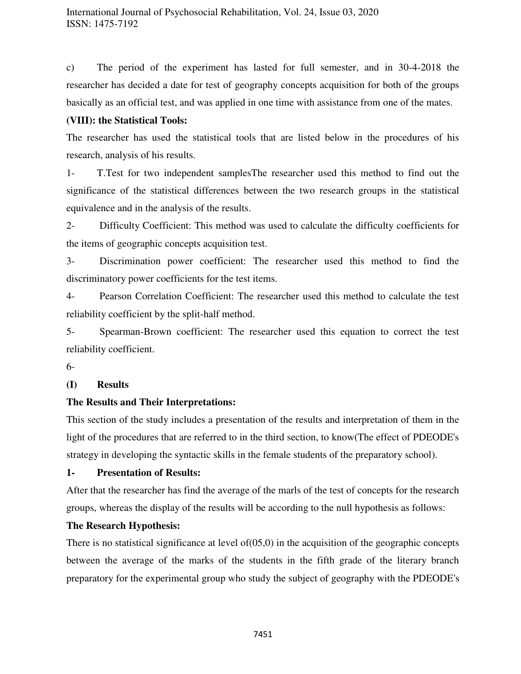c) The period of the experiment has lasted for full semester, and in 30-4-2018 the researcher has decided a date for test of geography concepts acquisition for both of the groups basically as an official test, and was applied in one time with assistance from one of the mates.

## **(VIII): the Statistical Tools:**

The researcher has used the statistical tools that are listed below in the procedures of his research, analysis of his results.

1- T.Test for two independent samplesThe researcher used this method to find out the significance of the statistical differences between the two research groups in the statistical equivalence and in the analysis of the results.

2- Difficulty Coefficient: This method was used to calculate the difficulty coefficients for the items of geographic concepts acquisition test.

3- Discrimination power coefficient: The researcher used this method to find the discriminatory power coefficients for the test items.

4- Pearson Correlation Coefficient: The researcher used this method to calculate the test reliability coefficient by the split-half method.

5- Spearman-Brown coefficient: The researcher used this equation to correct the test reliability coefficient.

6-

## **(I) Results**

#### **The Results and Their Interpretations:**

This section of the study includes a presentation of the results and interpretation of them in the light of the procedures that are referred to in the third section, to know(The effect of PDEODE's strategy in developing the syntactic skills in the female students of the preparatory school).

#### **1- Presentation of Results:**

After that the researcher has find the average of the marls of the test of concepts for the research groups, whereas the display of the results will be according to the null hypothesis as follows:

#### **The Research Hypothesis:**

There is no statistical significance at level  $of(05,0)$  in the acquisition of the geographic concepts between the average of the marks of the students in the fifth grade of the literary branch preparatory for the experimental group who study the subject of geography with the PDEODE's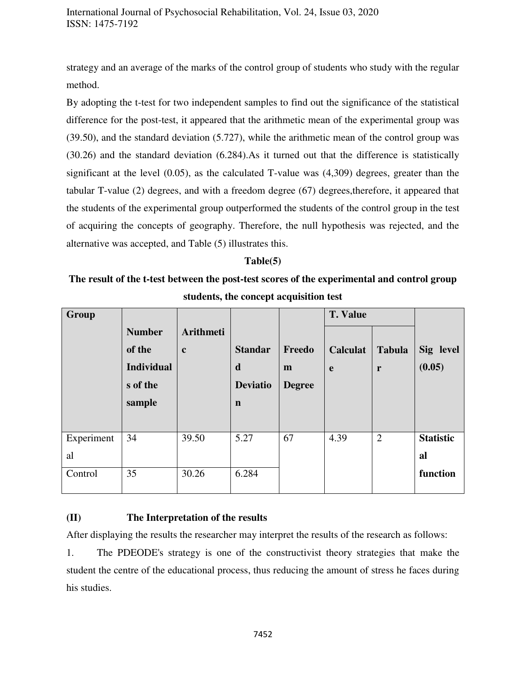strategy and an average of the marks of the control group of students who study with the regular method.

By adopting the t-test for two independent samples to find out the significance of the statistical difference for the post-test, it appeared that the arithmetic mean of the experimental group was (39.50), and the standard deviation (5.727), while the arithmetic mean of the control group was (30.26) and the standard deviation (6.284).As it turned out that the difference is statistically significant at the level (0.05), as the calculated T-value was (4,309) degrees, greater than the tabular T-value (2) degrees, and with a freedom degree (67) degrees,therefore, it appeared that the students of the experimental group outperformed the students of the control group in the test of acquiring the concepts of geography. Therefore, the null hypothesis was rejected, and the alternative was accepted, and Table (5) illustrates this.

#### **Table(5)**

**The result of the t-test between the post-test scores of the experimental and control group students, the concept acquisition test** 

| <b>Group</b>     | <b>Number</b><br>of the<br><b>Individual</b><br>s of the<br>sample | <b>Arithmeti</b><br>$\mathbf c$ | <b>Standar</b><br>$\mathbf d$<br><b>Deviatio</b><br>n | Freedo<br>m<br><b>Degree</b> | <b>T. Value</b><br><b>Calculat</b><br>e | <b>Tabula</b><br>r | Sig level<br>(0.05)    |
|------------------|--------------------------------------------------------------------|---------------------------------|-------------------------------------------------------|------------------------------|-----------------------------------------|--------------------|------------------------|
| Experiment<br>al | 34                                                                 | 39.50                           | 5.27                                                  | 67                           | 4.39                                    | $\overline{2}$     | <b>Statistic</b><br>al |
| Control          | 35                                                                 | 30.26                           | 6.284                                                 |                              |                                         |                    | function               |

#### **(II) The Interpretation of the results**

After displaying the results the researcher may interpret the results of the research as follows:

1. The PDEODE's strategy is one of the constructivist theory strategies that make the student the centre of the educational process, thus reducing the amount of stress he faces during his studies.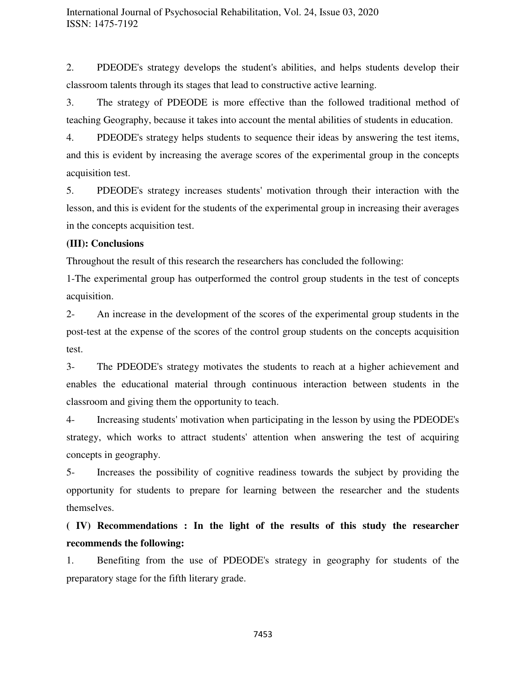2. PDEODE's strategy develops the student's abilities, and helps students develop their classroom talents through its stages that lead to constructive active learning.

3. The strategy of PDEODE is more effective than the followed traditional method of teaching Geography, because it takes into account the mental abilities of students in education.

4. PDEODE's strategy helps students to sequence their ideas by answering the test items, and this is evident by increasing the average scores of the experimental group in the concepts acquisition test.

5. PDEODE's strategy increases students' motivation through their interaction with the lesson, and this is evident for the students of the experimental group in increasing their averages in the concepts acquisition test.

#### **(III): Conclusions**

Throughout the result of this research the researchers has concluded the following:

1-The experimental group has outperformed the control group students in the test of concepts acquisition.

2- An increase in the development of the scores of the experimental group students in the post-test at the expense of the scores of the control group students on the concepts acquisition test.

3- The PDEODE's strategy motivates the students to reach at a higher achievement and enables the educational material through continuous interaction between students in the classroom and giving them the opportunity to teach.

4- Increasing students' motivation when participating in the lesson by using the PDEODE's strategy, which works to attract students' attention when answering the test of acquiring concepts in geography.

5- Increases the possibility of cognitive readiness towards the subject by providing the opportunity for students to prepare for learning between the researcher and the students themselves.

# **( IV) Recommendations : In the light of the results of this study the researcher recommends the following:**

1. Benefiting from the use of PDEODE's strategy in geography for students of the preparatory stage for the fifth literary grade.

7453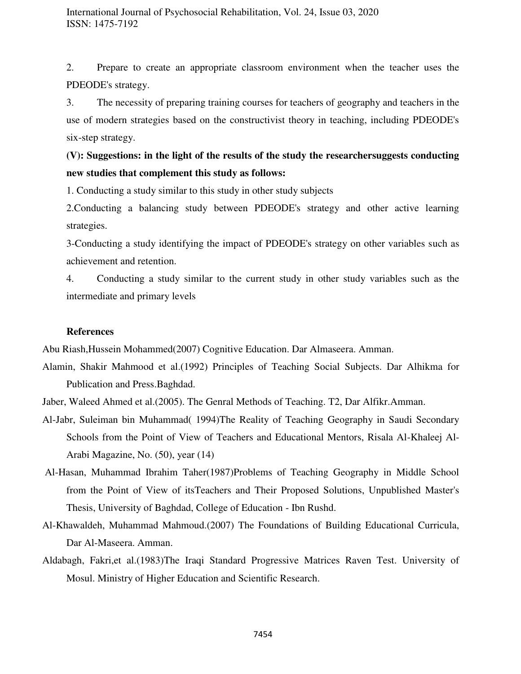2. Prepare to create an appropriate classroom environment when the teacher uses the PDEODE's strategy.

3. The necessity of preparing training courses for teachers of geography and teachers in the use of modern strategies based on the constructivist theory in teaching, including PDEODE's six-step strategy.

**(V): Suggestions: in the light of the results of the study the researchersuggests conducting new studies that complement this study as follows:** 

1. Conducting a study similar to this study in other study subjects

2.Conducting a balancing study between PDEODE's strategy and other active learning strategies.

3-Conducting a study identifying the impact of PDEODE's strategy on other variables such as achievement and retention.

4. Conducting a study similar to the current study in other study variables such as the intermediate and primary levels

#### **References**

Abu Riash,Hussein Mohammed(2007) Cognitive Education. Dar Almaseera. Amman.

Alamin, Shakir Mahmood et al.(1992) Principles of Teaching Social Subjects. Dar Alhikma for Publication and Press.Baghdad.

Jaber, Waleed Ahmed et al.(2005). The Genral Methods of Teaching. T2, Dar Alfikr.Amman.

- Al-Jabr, Suleiman bin Muhammad( 1994)The Reality of Teaching Geography in Saudi Secondary Schools from the Point of View of Teachers and Educational Mentors, Risala Al-Khaleej Al-Arabi Magazine, No. (50), year (14)
- Al-Hasan, Muhammad Ibrahim Taher(1987)Problems of Teaching Geography in Middle School from the Point of View of itsTeachers and Their Proposed Solutions, Unpublished Master's Thesis, University of Baghdad, College of Education - Ibn Rushd.
- Al-Khawaldeh, Muhammad Mahmoud.(2007) The Foundations of Building Educational Curricula, Dar Al-Maseera. Amman.
- Aldabagh, Fakri,et al.(1983)The Iraqi Standard Progressive Matrices Raven Test. University of Mosul. Ministry of Higher Education and Scientific Research.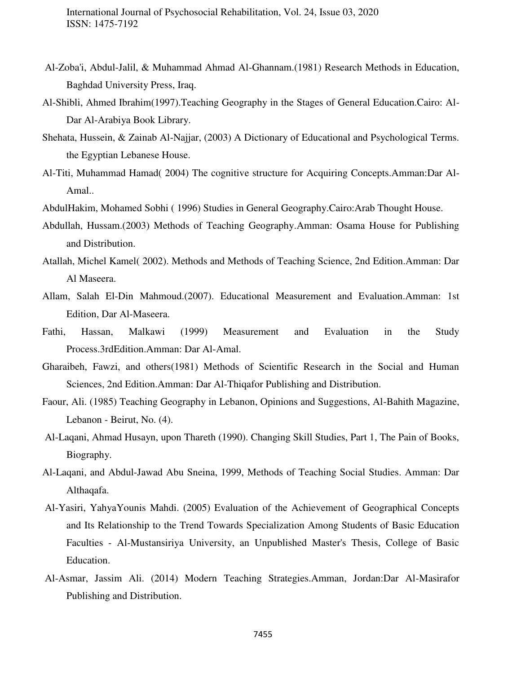- Al-Zoba'i, Abdul-Jalil, & Muhammad Ahmad Al-Ghannam.(1981) Research Methods in Education, Baghdad University Press, Iraq.
- Al-Shibli, Ahmed Ibrahim(1997).Teaching Geography in the Stages of General Education.Cairo: Al-Dar Al-Arabiya Book Library.
- Shehata, Hussein, & Zainab Al-Najjar, (2003) A Dictionary of Educational and Psychological Terms. the Egyptian Lebanese House.
- Al-Titi, Muhammad Hamad( 2004) The cognitive structure for Acquiring Concepts.Amman:Dar Al-Amal..
- AbdulHakim, Mohamed Sobhi ( 1996) Studies in General Geography.Cairo:Arab Thought House.
- Abdullah, Hussam.(2003) Methods of Teaching Geography.Amman: Osama House for Publishing and Distribution.
- Atallah, Michel Kamel( 2002). Methods and Methods of Teaching Science, 2nd Edition.Amman: Dar Al Maseera.
- Allam, Salah El-Din Mahmoud.(2007). Educational Measurement and Evaluation.Amman: 1st Edition, Dar Al-Maseera.
- Fathi, Hassan, Malkawi (1999) Measurement and Evaluation in the Study Process.3rdEdition.Amman: Dar Al-Amal.
- Gharaibeh, Fawzi, and others(1981) Methods of Scientific Research in the Social and Human Sciences, 2nd Edition.Amman: Dar Al-Thiqafor Publishing and Distribution.
- Faour, Ali. (1985) Teaching Geography in Lebanon, Opinions and Suggestions, Al-Bahith Magazine, Lebanon - Beirut, No. (4).
- Al-Laqani, Ahmad Husayn, upon Thareth (1990). Changing Skill Studies, Part 1, The Pain of Books, Biography.
- Al-Laqani, and Abdul-Jawad Abu Sneina, 1999, Methods of Teaching Social Studies. Amman: Dar Althaqafa.
- Al-Yasiri, YahyaYounis Mahdi. (2005) Evaluation of the Achievement of Geographical Concepts and Its Relationship to the Trend Towards Specialization Among Students of Basic Education Faculties - Al-Mustansiriya University, an Unpublished Master's Thesis, College of Basic Education.
- Al-Asmar, Jassim Ali. (2014) Modern Teaching Strategies.Amman, Jordan:Dar Al-Masirafor Publishing and Distribution.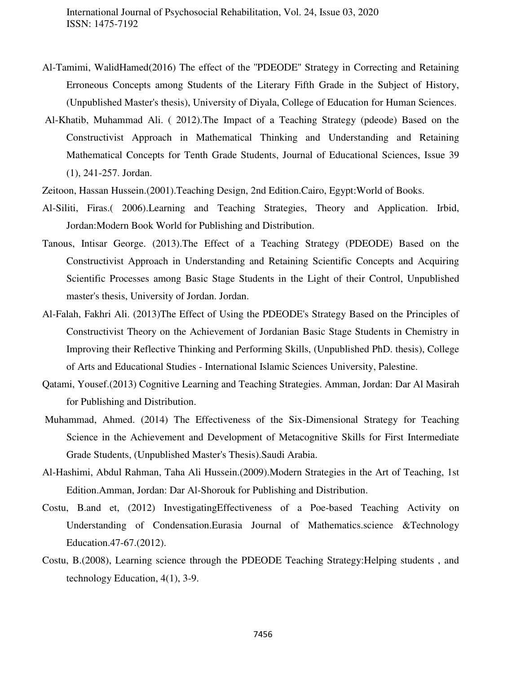- Al-Tamimi, WalidHamed(2016) The effect of the ''PDEODE'' Strategy in Correcting and Retaining Erroneous Concepts among Students of the Literary Fifth Grade in the Subject of History, (Unpublished Master's thesis), University of Diyala, College of Education for Human Sciences.
- Al-Khatib, Muhammad Ali. ( 2012).The Impact of a Teaching Strategy (pdeode) Based on the Constructivist Approach in Mathematical Thinking and Understanding and Retaining Mathematical Concepts for Tenth Grade Students, Journal of Educational Sciences, Issue 39 (1), 241-257. Jordan.
- Zeitoon, Hassan Hussein.(2001).Teaching Design, 2nd Edition.Cairo, Egypt:World of Books.
- Al-Siliti, Firas.( 2006).Learning and Teaching Strategies, Theory and Application. Irbid, Jordan:Modern Book World for Publishing and Distribution.
- Tanous, Intisar George. (2013).The Effect of a Teaching Strategy (PDEODE) Based on the Constructivist Approach in Understanding and Retaining Scientific Concepts and Acquiring Scientific Processes among Basic Stage Students in the Light of their Control, Unpublished master's thesis, University of Jordan. Jordan.
- Al-Falah, Fakhri Ali. (2013)The Effect of Using the PDEODE's Strategy Based on the Principles of Constructivist Theory on the Achievement of Jordanian Basic Stage Students in Chemistry in Improving their Reflective Thinking and Performing Skills, (Unpublished PhD. thesis), College of Arts and Educational Studies - International Islamic Sciences University, Palestine.
- Qatami, Yousef.(2013) Cognitive Learning and Teaching Strategies. Amman, Jordan: Dar Al Masirah for Publishing and Distribution.
- Muhammad, Ahmed. (2014) The Effectiveness of the Six-Dimensional Strategy for Teaching Science in the Achievement and Development of Metacognitive Skills for First Intermediate Grade Students, (Unpublished Master's Thesis).Saudi Arabia.
- Al-Hashimi, Abdul Rahman, Taha Ali Hussein.(2009).Modern Strategies in the Art of Teaching, 1st Edition.Amman, Jordan: Dar Al-Shorouk for Publishing and Distribution.
- Costu, B.and et, (2012) InvestigatingEffectiveness of a Poe-based Teaching Activity on Understanding of Condensation.Eurasia Journal of Mathematics.science &Technology Education.47-67.(2012).
- Costu, B.(2008), Learning science through the PDEODE Teaching Strategy:Helping students , and technology Education, 4(1), 3-9.